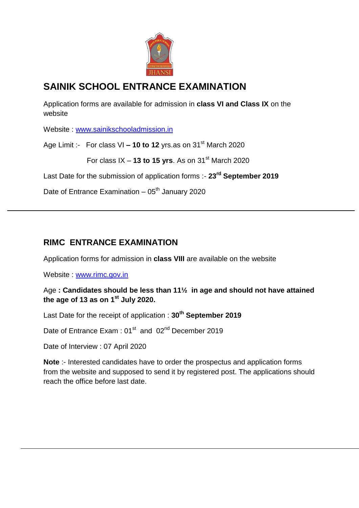

## **SAINIK SCHOOL ENTRANCE EXAMINATION**

Application forms are available for admission in **class VI and Class IX** on the website

Website : [www.sainikschooladmission.in](http://www.sainikschooladmission.in/)

Age Limit :- For class VI **– 10 to 12** yrs.as on 31<sup>st</sup> March 2020

For class  $IX - 13$  to 15 yrs. As on  $31<sup>st</sup>$  March 2020

Last Date for the submission of application forms :- **23rd September 2019**

Date of Entrance Examination –  $05<sup>th</sup>$  January 2020

## **RIMC ENTRANCE EXAMINATION**

Application forms for admission in **class VIII** are available on the website

Website : [www.rimc.gov.in](http://www.rimc.gov.in/)

Age **: Candidates should be less than 11½ in age and should not have attained the age of 13 as on 1st July 2020.**

Last Date for the receipt of application : **30th September 2019**

Date of Entrance Exam : 01<sup>st</sup> and 02<sup>nd</sup> December 2019

Date of Interview : 07 April 2020

**Note** :- Interested candidates have to order the prospectus and application forms from the website and supposed to send it by registered post. The applications should reach the office before last date.